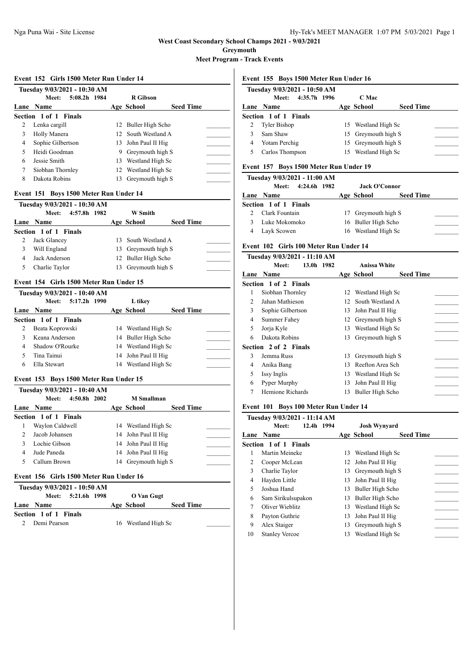**Greymouth**

**Meet Program - Track Events**

#### **Event 152 Girls 1500 Meter Run Under 14**

|   | Tuesday 9/03/2021 - 10:30 AM |    |                     |                  |  |
|---|------------------------------|----|---------------------|------------------|--|
|   | 5:08.2h 1984<br>Meet:        |    | <b>R</b> Gibson     |                  |  |
|   | Lane Name                    |    | Age School          | <b>Seed Time</b> |  |
|   | Section 1 of 1 Finals        |    |                     |                  |  |
| 2 | Lenka cargill                |    | 12 Buller High Scho |                  |  |
| 3 | Holly Manera                 |    | 12 South Westland A |                  |  |
| 4 | Sophie Gilbertson            |    | 13 John Paul II Hig |                  |  |
| 5 | Heidi Goodman                | 9  | Greymouth high S    |                  |  |
| 6 | Jessie Smith                 | 13 | Westland High Sc    |                  |  |
| 7 | Siobhan Thornley             |    | 12 Westland High Sc |                  |  |
| 8 | Dakota Robins                |    | Greymouth high S    |                  |  |

## **Event 151 Boys 1500 Meter Run Under 14**

|   | Tuesday 9/03/2021 - 10:30 AM |                     |                  |  |
|---|------------------------------|---------------------|------------------|--|
|   | 4:57.8h 1982<br>Meet:        | <b>W</b> Smith      |                  |  |
|   | Lane Name                    | Age School          | <b>Seed Time</b> |  |
|   | Section 1 of 1 Finals        |                     |                  |  |
|   | Jack Glancey                 | 13 South Westland A |                  |  |
| 3 | Will England                 | 13 Greymouth high S |                  |  |
| 4 | Jack Anderson                | 12 Buller High Scho |                  |  |
|   | Charlie Taylor               | 13 Greymouth high S |                  |  |

## **Event 154 Girls 1500 Meter Run Under 15**

|   | Tuesday 9/03/2021 - 10:40 AM |                     |                  |  |
|---|------------------------------|---------------------|------------------|--|
|   | 5:17.2h 1990<br><b>Meet:</b> | L tikey             |                  |  |
|   | Lane Name                    | Age School          | <b>Seed Time</b> |  |
|   | <b>Section 1 of 1 Finals</b> |                     |                  |  |
|   | Beata Koprowski              | 14 Westland High Sc |                  |  |
|   | Keana Anderson               | 14 Buller High Scho |                  |  |
| 4 | Shadow O'Rourke              | 14 Westland High Sc |                  |  |
|   | Tina Tainui                  | 14 John Paul II Hig |                  |  |
| 6 | Ella Stewart                 | 14 Westland High Sc |                  |  |

#### **Event 153 Boys 1500 Meter Run Under 15**

|   | Tuesday 9/03/2021 - 10:40 AM |    |                     |                  |  |
|---|------------------------------|----|---------------------|------------------|--|
|   | 4:50.8h 2002<br>Meet:        |    | <b>M</b> Smallman   |                  |  |
|   | Lane Name                    |    | Age School          | <b>Seed Time</b> |  |
|   | Section 1 of 1 Finals        |    |                     |                  |  |
|   | Waylon Caldwell              |    | 14 Westland High Sc |                  |  |
|   | Jacob Johansen               |    | 14 John Paul II Hig |                  |  |
|   | Lochie Gibson                |    | 14 John Paul II Hig |                  |  |
| 4 | Jude Paneda                  |    | 14 John Paul II Hig |                  |  |
|   | Callum Brown                 | 14 | Greymouth high S    |                  |  |

## **Event 156 Girls 1500 Meter Run Under 16**

|                       | Tuesday 9/03/2021 - 10:50 AM |                    |  |                     |                  |  |
|-----------------------|------------------------------|--------------------|--|---------------------|------------------|--|
|                       |                              | Meet: 5:21.6h 1998 |  | O Van Gugt          |                  |  |
|                       | Lane Name                    |                    |  | Age School          | <b>Seed Time</b> |  |
| Section 1 of 1 Finals |                              |                    |  |                     |                  |  |
|                       | 2 Demi Pearson               |                    |  | 16 Westland High Sc |                  |  |

### **Event 155 Boys 1500 Meter Run Under 16**

|   | Tuesday 9/03/2021 - 10:50 AM |                     |                  |  |
|---|------------------------------|---------------------|------------------|--|
|   | 4:35.7h 1996<br>Meet:        | C Mac               |                  |  |
|   | Lane Name                    | Age School          | <b>Seed Time</b> |  |
|   | Section 1 of 1 Finals        |                     |                  |  |
|   | <b>Tyler Bishop</b>          | 15 Westland High Sc |                  |  |
| ٩ | Sam Shaw                     | 15 Greymouth high S |                  |  |
| 4 | Yotam Perchig                | 15 Greymouth high S |                  |  |
|   | Carlos Thompson              | 15 Westland High Sc |                  |  |

## **Event 157 Boys 1500 Meter Run Under 19**

|   | Tuesday 9/03/2021 - 11:00 AM |                      |                  |  |
|---|------------------------------|----------------------|------------------|--|
|   | 4:24.6h 1982<br>Meet:        | <b>Jack O'Connor</b> |                  |  |
|   | Lane Name                    | Age School           | <b>Seed Time</b> |  |
|   | Section 1 of 1 Finals        |                      |                  |  |
|   | Clark Fountain               | 17 Greymouth high S  |                  |  |
| 3 | Luke Mokomoko                | 16 Buller High Scho  |                  |  |
| 4 | Layk Scowen                  | 16 Westland High Sc  |                  |  |

#### **Event 102 Girls 100 Meter Run Under 14**

|      | Tuesday 9/03/2021 - 11:10 AM |     |                     |                  |
|------|------------------------------|-----|---------------------|------------------|
|      | 13.0h 1982<br>Meet:          |     | <b>Anissa White</b> |                  |
| Lane | <b>Name</b>                  |     | Age School          | <b>Seed Time</b> |
|      | <b>Section 1 of 2 Finals</b> |     |                     |                  |
| 1    | Siobhan Thornley             |     | 12 Westland High Sc |                  |
| 2    | Jahan Mathieson              | 12. | South Westland A    |                  |
| 3    | Sophie Gilbertson            | 13  | John Paul II Hig    |                  |
| 4    | Summer Fahey                 | 12  | Greymouth high S    |                  |
| 5    | Jorja Kyle                   | 13  | Westland High Sc    |                  |
| 6    | Dakota Robins                | 13  | Greymouth high S    |                  |
|      | <b>Section 2 of 2 Finals</b> |     |                     |                  |
| 3    | Jemma Russ                   | 13  | Greymouth high S    |                  |
| 4    | Anika Bang                   | 13  | Reefton Area Sch    |                  |
| 5    | Issy Inglis                  | 13  | Westland High Sc    |                  |
| 6    | Pyper Murphy                 | 13  | John Paul II Hig    |                  |
| 7    | Hemione Richards             | 13  | Buller High Scho    |                  |

#### **Event 101 Boys 100 Meter Run Under 14**

|    | Tuesday 9/03/2021 - 11:14 AM |    |                                |
|----|------------------------------|----|--------------------------------|
|    | 12.4h 1994<br>Meet:          |    | <b>Josh Wynyard</b>            |
|    | Lane Name                    |    | <b>Seed Time</b><br>Age School |
|    | Section 1 of 1 Finals        |    |                                |
|    | Martin Meineke               | 13 | Westland High Sc               |
| 2  | Cooper McLean                | 12 | John Paul II Hig               |
| 3  | Charlie Taylor               | 13 | Greymouth high S               |
| 4  | Hayden Little                | 13 | John Paul II Hig               |
| 5  | Joshua Hand                  | 13 | Buller High Scho               |
| 6  | Sam Sirikulsupakon           | 13 | Buller High Scho               |
| 7  | Oliver Wieblitz              | 13 | Westland High Sc               |
| 8  | Payton Guthrie               | 13 | John Paul II Hig               |
| 9  | Alex Staiger                 | 13 | Greymouth high S               |
| 10 | <b>Stanley Vercoe</b>        | 13 | Westland High Sc               |
|    |                              |    |                                |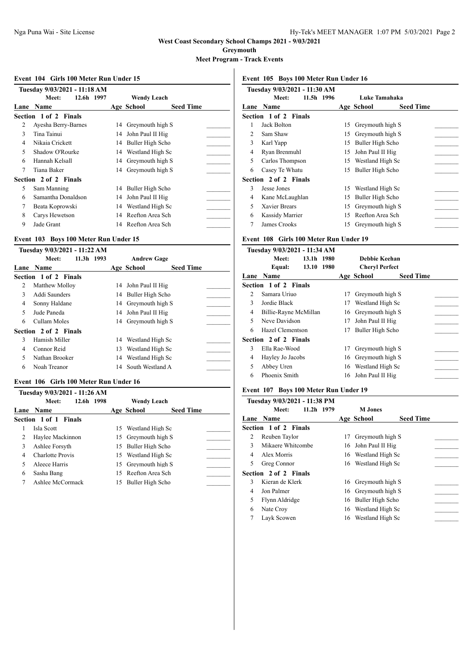**Greymouth**

**Meet Program - Track Events**

#### **Event 104 Girls 100 Meter Run Under 15**

|   | Tuesday 9/03/2021 - 11:18 AM |    |                     |                  |
|---|------------------------------|----|---------------------|------------------|
|   | 12.6h 1997<br>Meet:          |    | <b>Wendy Leach</b>  |                  |
|   | Lane Name                    |    | Age School          | <b>Seed Time</b> |
|   | Section 1 of 2 Finals        |    |                     |                  |
| 2 | Ayesha Berry-Barnes          | 14 | Greymouth high S    |                  |
| 3 | Tina Tainui                  | 14 | John Paul II Hig    |                  |
| 4 | Nikaia Crickett              |    | 14 Buller High Scho |                  |
| 5 | Shadow O'Rourke              |    | 14 Westland High Sc |                  |
| 6 | Hannah Kelsall               | 14 | Greymouth high S    |                  |
| 7 | Tiana Baker                  |    | 14 Greymouth high S |                  |
|   | Section 2 of 2 Finals        |    |                     |                  |
| 5 | Sam Manning                  |    | 14 Buller High Scho |                  |
| 6 | Samantha Donaldson           | 14 | John Paul II Hig    |                  |
| 7 | Beata Koprowski              | 14 | Westland High Sc    |                  |
| 8 | Carys Hewetson               | 14 | Reefton Area Sch    |                  |
| 9 | Jade Grant                   |    | 14 Reefton Area Sch |                  |

#### **Event 103 Boys 100 Meter Run Under 15**

|                          | Tuesday 9/03/2021 - 11:22 AM |    |                     |                  |  |
|--------------------------|------------------------------|----|---------------------|------------------|--|
|                          | 11.3h 1993<br>Meet:          |    | <b>Andrew Gage</b>  |                  |  |
|                          | Lane Name                    |    | Age School          | <b>Seed Time</b> |  |
|                          | Section 1 of 2 Finals        |    |                     |                  |  |
| 2                        | Matthew Molloy               |    | 14 John Paul II Hig |                  |  |
| 3                        | Addi Saunders                |    | 14 Buller High Scho |                  |  |
| 4                        | Sonny Haldane                |    | 14 Greymouth high S |                  |  |
| $\overline{\phantom{0}}$ | Jude Paneda                  |    | 14 John Paul II Hig |                  |  |
| 6                        | Cullam Moles                 |    | 14 Greymouth high S |                  |  |
|                          | Section 2 of 2 Finals        |    |                     |                  |  |
| 3                        | Hamish Miller                |    | 14 Westland High Sc |                  |  |
| 4                        | Connor Reid                  | 13 | Westland High Sc    |                  |  |
| 5                        | Nathan Brooker               | 14 | Westland High Sc    |                  |  |
| 6                        | Noah Treanor                 | 14 | South Westland A    |                  |  |

#### **Event 106 Girls 100 Meter Run Under 16**

|   | Tuesday 9/03/2021 - 11:26 AM |    |                     |                  |  |
|---|------------------------------|----|---------------------|------------------|--|
|   | 12.6h 1998<br>Meet:          |    | <b>Wendy Leach</b>  |                  |  |
|   | Lane Name                    |    | Age School          | <b>Seed Time</b> |  |
|   | Section 1 of 1 Finals        |    |                     |                  |  |
|   | Isla Scott                   |    | 15 Westland High Sc |                  |  |
| 2 | Haylee Mackinnon             |    | 15 Greymouth high S |                  |  |
| 3 | Ashlee Forsyth               |    | 15 Buller High Scho |                  |  |
| 4 | Charlotte Provis             |    | 15 Westland High Sc |                  |  |
|   | Aleece Harris                | 15 | Greymouth high S    |                  |  |
| 6 | Sasha Bang                   |    | 15 Reefton Area Sch |                  |  |
|   | Ashlee McCormack             | 15 | Buller High Scho    |                  |  |

# **Event 105 Boys 100 Meter Run Under 16**

| Tuesday 9/03/2021 - 11:30 AM |                              |    |                                |  |  |  |  |
|------------------------------|------------------------------|----|--------------------------------|--|--|--|--|
|                              | 11.5h 1996<br>Meet:          |    | Luke Tamahaka                  |  |  |  |  |
| Lane                         | <b>Name</b>                  |    | <b>Seed Time</b><br>Age School |  |  |  |  |
|                              | <b>Section 1 of 2 Finals</b> |    |                                |  |  |  |  |
| 1                            | Jack Bolton                  | 15 | Greymouth high S               |  |  |  |  |
| $\mathcal{L}$                | Sam Shaw                     | 15 | Greymouth high S               |  |  |  |  |
| 3                            | Karl Yapp                    | 15 | Buller High Scho               |  |  |  |  |
| 4                            | Ryan Brenmuhl                | 15 | John Paul II Hig               |  |  |  |  |
| 5                            | Carlos Thompson              | 15 | Westland High Sc               |  |  |  |  |
| 6                            | Casey Te Whatu               | 15 | Buller High Scho               |  |  |  |  |
|                              | <b>Section 2 of 2 Finals</b> |    |                                |  |  |  |  |
| 3                            | Jesse Jones                  | 15 | Westland High Sc               |  |  |  |  |
| 4                            | Kane McLaughlan              | 15 | Buller High Scho               |  |  |  |  |
| 5                            | Xavier Brears                | 15 | Greymouth high S               |  |  |  |  |
| 6                            | Kassidy Marrier              | 15 | Reefton Area Sch               |  |  |  |  |
| 7                            | James Crooks                 | 15 | Greymouth high S               |  |  |  |  |
|                              |                              |    |                                |  |  |  |  |

# **Event 108 Girls 100 Meter Run Under 19**

|      | Tuesday 9/03/2021 - 11:34 AM |    |                       |                  |  |
|------|------------------------------|----|-----------------------|------------------|--|
|      | Meet:<br>13.1h 1980          |    | Debbie Keehan         |                  |  |
|      | 13.10 1980<br>Equal:         |    | <b>Cheryl Perfect</b> |                  |  |
| Lane | <b>Name</b>                  |    | Age School            | <b>Seed Time</b> |  |
|      | Section 1 of 2 Finals        |    |                       |                  |  |
| 2    | Samara Uriuo                 | 17 | Greymouth high S      |                  |  |
| 3    | Jordie Black                 | 17 | Westland High Sc      |                  |  |
| 4    | Billie-Rayne McMillan        |    | 16 Greymouth high S   |                  |  |
| 5    | Neve Davidson                | 17 | John Paul II Hig      |                  |  |
| 6    | Hazel Clementson             | 17 | Buller High Scho      |                  |  |
|      | <b>Section 2 of 2 Finals</b> |    |                       |                  |  |
| 3    | Ella Rae-Wood                | 17 | Greymouth high S      |                  |  |
| 4    | Hayley Jo Jacobs             | 16 | Greymouth high S      |                  |  |
| 5    | Abbey Uren                   | 16 | Westland High Sc      |                  |  |
| 6    | Phoenix Smith                | 16 | John Paul II Hig      |                  |  |
|      |                              |    |                       |                  |  |

### **Event 107 Boys 100 Meter Run Under 19**

|                | Tuesday 9/03/2021 - 11:38 PM |    |                     |                  |
|----------------|------------------------------|----|---------------------|------------------|
|                | $11.2h$ 1979<br>Meet:        |    | <b>M</b> Jones      |                  |
|                | Lane Name                    |    | Age School          | <b>Seed Time</b> |
|                | Section 1 of 2 Finals        |    |                     |                  |
| 2              | Reuben Taylor                | 17 | Greymouth high S    |                  |
| 3              | Mikaere Whitcombe            |    | 16 John Paul II Hig |                  |
| 4              | Alex Morris                  |    | 16 Westland High Sc |                  |
| 5              | Greg Connor                  |    | 16 Westland High Sc |                  |
|                | Section 2 of 2 Finals        |    |                     |                  |
| 3              | Kieran de Klerk              | 16 | Greymouth high S    |                  |
| $\overline{4}$ | Jon Palmer                   | 16 | Greymouth high S    |                  |
| 5              | Flynn Aldridge               |    | 16 Buller High Scho |                  |
| 6              | Nate Croy                    |    | 16 Westland High Sc |                  |
|                | Layk Scowen                  |    | 16 Westland High Sc |                  |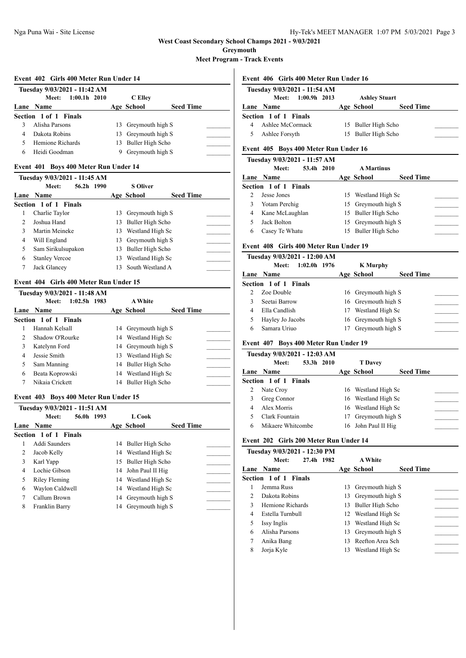**Greymouth**

**Meet Program - Track Events**

#### **Event 402 Girls 400 Meter Run Under 14**

|   | Tuesday 9/03/2021 - 11:42 AM |  |                     |                  |  |  |  |  |  |
|---|------------------------------|--|---------------------|------------------|--|--|--|--|--|
|   | Meet: 1:00.1h 2010           |  | C Ellev             |                  |  |  |  |  |  |
|   | Lane Name                    |  | Age School          | <b>Seed Time</b> |  |  |  |  |  |
|   | Section 1 of 1 Finals        |  |                     |                  |  |  |  |  |  |
|   | Alisha Parsons               |  | 13 Greymouth high S |                  |  |  |  |  |  |
| 4 | Dakota Robins                |  | 13 Greymouth high S |                  |  |  |  |  |  |
| 5 | Hemione Richards             |  | 13 Buller High Scho |                  |  |  |  |  |  |
| 6 | Heidi Goodman                |  | Greymouth high S    |                  |  |  |  |  |  |

## **Event 401 Boys 400 Meter Run Under 14**

|   | Tuesday 9/03/2021 - 11:45 AM |            |     |                     |                  |  |
|---|------------------------------|------------|-----|---------------------|------------------|--|
|   | Meet:                        | 56.2h 1990 |     | <b>S</b> Oliver     |                  |  |
|   | Lane Name                    |            |     | Age School          | <b>Seed Time</b> |  |
|   | Section 1 of 1 Finals        |            |     |                     |                  |  |
| L | Charlie Taylor               |            | 13  | Greymouth high S    |                  |  |
| 2 | Joshua Hand                  |            | 13. | Buller High Scho    |                  |  |
| 3 | Martin Meineke               |            | 13  | Westland High Sc    |                  |  |
| 4 | Will England                 |            |     | 13 Greymouth high S |                  |  |
| 5 | Sam Sirikulsupakon           |            | 13. | Buller High Scho    |                  |  |
| 6 | <b>Stanley Vercoe</b>        |            | 13  | Westland High Sc    |                  |  |
|   | Jack Glancey                 |            | 13. | South Westland A    |                  |  |

## **Event 404 Girls 400 Meter Run Under 15**

|               | Tuesday 9/03/2021 - 11:48 AM |    |                     |                  |  |
|---------------|------------------------------|----|---------------------|------------------|--|
|               | $1:02.5h$ 1983<br>Meet:      |    | <b>A White</b>      |                  |  |
|               | Lane Name                    |    | Age School          | <b>Seed Time</b> |  |
|               | Section 1 of 1 Finals        |    |                     |                  |  |
|               | Hannah Kelsall               |    | 14 Greymouth high S |                  |  |
| $\mathcal{L}$ | Shadow O'Rourke              |    | 14 Westland High Sc |                  |  |
| 3             | Katelynn Ford                |    | 14 Greymouth high S |                  |  |
| 4             | Jessie Smith                 | 13 | Westland High Sc    |                  |  |
| 5             | Sam Manning                  |    | 14 Buller High Scho |                  |  |
| 6             | Beata Koprowski              |    | 14 Westland High Sc |                  |  |
|               | Nikaia Crickett              |    | 14 Buller High Scho |                  |  |

### **Event 403 Boys 400 Meter Run Under 15**

|   | Tuesday 9/03/2021 - 11:51 AM |    |                     |                  |  |
|---|------------------------------|----|---------------------|------------------|--|
|   | 56.0h 1993<br>Meet:          |    | L Cook              |                  |  |
|   | Lane Name                    |    | Age School          | <b>Seed Time</b> |  |
|   | Section 1 of 1 Finals        |    |                     |                  |  |
| 1 | Addi Saunders                |    | 14 Buller High Scho |                  |  |
| 2 | Jacob Kelly                  |    | 14 Westland High Sc |                  |  |
| 3 | Karl Yapp                    |    | 15 Buller High Scho |                  |  |
| 4 | Lochie Gibson                |    | 14 John Paul II Hig |                  |  |
| 5 | Riley Fleming                |    | 14 Westland High Sc |                  |  |
| 6 | Waylon Caldwell              |    | 14 Westland High Sc |                  |  |
| 7 | Callum Brown                 | 14 | Greymouth high S    |                  |  |
| 8 | Franklin Barry               | 14 | Greymouth high S    |                  |  |
|   |                              |    |                     |                  |  |

#### **Event 406 Girls 400 Meter Run Under 16**

| Tuesday 9/03/2021 - 11:54 AM |  |                      |                  |  |  |  |  |
|------------------------------|--|----------------------|------------------|--|--|--|--|
| $1:00.9h$ 2013<br>Meet:      |  | <b>Ashley Stuart</b> |                  |  |  |  |  |
| Lane Name                    |  | Age School           | <b>Seed Time</b> |  |  |  |  |
| Section 1 of 1 Finals        |  |                      |                  |  |  |  |  |
| Ashlee McCormack             |  | 15 Buller High Scho  |                  |  |  |  |  |
| Ashlee Forsyth               |  | 15 Buller High Scho  |                  |  |  |  |  |
|                              |  |                      |                  |  |  |  |  |

## **Event 405 Boys 400 Meter Run Under 16**

|   | Tuesday 9/03/2021 - 11:57 AM |                     |                  |  |
|---|------------------------------|---------------------|------------------|--|
|   | 53.4h 2010<br>Meet:          | <b>A</b> Martinus   |                  |  |
|   | <b>Lane Name</b>             | Age School          | <b>Seed Time</b> |  |
|   | <b>Section 1 of 1 Finals</b> |                     |                  |  |
|   | Jesse Jones                  | 15 Westland High Sc |                  |  |
|   | Yotam Perchig                | 15 Greymouth high S |                  |  |
| 4 | Kane McLaughlan              | 15 Buller High Scho |                  |  |
|   | Jack Bolton                  | 15 Greymouth high S |                  |  |
| 6 | Casey Te Whatu               | 15 Buller High Scho |                  |  |
|   |                              |                     |                  |  |

#### **Event 408 Girls 400 Meter Run Under 19**

|   | Tuesday 9/03/2021 - 12:00 AM |    |                     |                  |  |
|---|------------------------------|----|---------------------|------------------|--|
|   | $1:02.0h$ 1976<br>Meet:      |    | <b>K</b> Murphy     |                  |  |
|   | Lane Name                    |    | Age School          | <b>Seed Time</b> |  |
|   | Section 1 of 1 Finals        |    |                     |                  |  |
|   | Zoe Double                   |    | 16 Greymouth high S |                  |  |
|   | Seetai Barrow                |    | 16 Greymouth high S |                  |  |
| 4 | Ella Candlish                | 17 | Westland High Sc    |                  |  |
|   | Hayley Jo Jacobs             |    | 16 Greymouth high S |                  |  |
| 6 | Samara Uriuo                 |    | Greymouth high S    |                  |  |

# **Event 407 Boys 400 Meter Run Under 19**

|   | Tuesday 9/03/2021 - 12:03 AM |                     |                  |  |
|---|------------------------------|---------------------|------------------|--|
|   | 53.3h 2010<br>Meet:          | <b>T</b> Davey      |                  |  |
|   | Lane Name                    | Age School          | <b>Seed Time</b> |  |
|   | Section 1 of 1 Finals        |                     |                  |  |
| 2 | Nate Croy                    | 16 Westland High Sc |                  |  |
| 3 | Greg Connor                  | 16 Westland High Sc |                  |  |
| 4 | Alex Morris                  | 16 Westland High Sc |                  |  |
|   | Clark Fountain               | Greymouth high S    |                  |  |
| 6 | Mikaere Whitcombe            | 16 John Paul II Hig |                  |  |

## **Event 202 Girls 200 Meter Run Under 14**

|               | Tuesday 9/03/2021 - 12:30 PM |    |                     |                  |
|---------------|------------------------------|----|---------------------|------------------|
|               | Meet:<br>27.4h 1982          |    | <b>A White</b>      |                  |
|               | Lane Name                    |    | Age School          | <b>Seed Time</b> |
|               | Section 1 of 1 Finals        |    |                     |                  |
|               | Jemma Russ                   | 13 | Greymouth high S    |                  |
| $\mathcal{D}$ | Dakota Robins                |    | 13 Greymouth high S |                  |
| $\mathcal{E}$ | Hemione Richards             | 13 | Buller High Scho    |                  |
| 4             | Estella Turnbull             |    | 12 Westland High Sc |                  |
| 5             | Issy Inglis                  | 13 | Westland High Sc    |                  |
| 6             | Alisha Parsons               | 13 | Greymouth high S    |                  |
| 7             | Anika Bang                   | 13 | Reefton Area Sch    |                  |
| 8             | Jorja Kyle                   | 13 | Westland High Sc    |                  |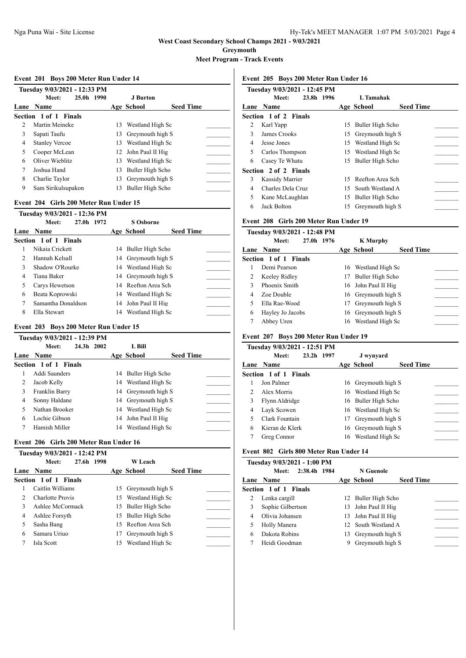**Greymouth**

**Meet Program - Track Events**

#### **Event 201 Boys 200 Meter Run Under 14**

|      | Tuesday 9/03/2021 - 12:33 PM |            |    |                     |                  |  |
|------|------------------------------|------------|----|---------------------|------------------|--|
|      | Meet:                        | 25.0h 1990 |    | J Burton            |                  |  |
| Lane | <b>Name</b>                  |            |    | Age School          | <b>Seed Time</b> |  |
|      | Section 1 of 1 Finals        |            |    |                     |                  |  |
| 2    | Martin Meineke               |            | 13 | Westland High Sc    |                  |  |
| 3    | Sapati Taufu                 |            | 13 | Greymouth high S    |                  |  |
| 4    | <b>Stanley Vercoe</b>        |            | 13 | Westland High Sc    |                  |  |
| 5    | Cooper McLean                |            |    | 12 John Paul II Hig |                  |  |
| 6    | Oliver Wieblitz              |            | 13 | Westland High Sc    |                  |  |
|      | Joshua Hand                  |            | 13 | Buller High Scho    |                  |  |
| 8    | Charlie Taylor               |            | 13 | Greymouth high S    |                  |  |
| 9    | Sam Sirikulsupakon           |            | 13 | Buller High Scho    |                  |  |

### **Event 204 Girls 200 Meter Run Under 15**

|                | Tuesday 9/03/2021 - 12:36 PM |                     |                  |  |
|----------------|------------------------------|---------------------|------------------|--|
|                | 27.0h 1972<br>Meet:          | <b>S</b> Osborne    |                  |  |
|                | Lane Name                    | Age School          | <b>Seed Time</b> |  |
|                | Section 1 of 1 Finals        |                     |                  |  |
|                | Nikaia Crickett              | 14 Buller High Scho |                  |  |
| $\mathfrak{D}$ | Hannah Kelsall               | 14 Greymouth high S |                  |  |
| 3              | Shadow O'Rourke              | 14 Westland High Sc |                  |  |
| 4              | Tiana Baker                  | 14 Greymouth high S |                  |  |
| 5              | Carys Hewetson               | 14 Reefton Area Sch |                  |  |
| 6              | Beata Koprowski              | 14 Westland High Sc |                  |  |
| 7              | Samantha Donaldson           | 14 John Paul II Hig |                  |  |
| 8              | Ella Stewart                 | 14 Westland High Sc |                  |  |

### **Event 203 Boys 200 Meter Run Under 15**

|   | Tuesday 9/03/2021 - 12:39 PM |            |                     |                  |  |
|---|------------------------------|------------|---------------------|------------------|--|
|   | Meet:                        | 24.3h 2002 | L Bill              |                  |  |
|   | Lane Name                    |            | Age School          | <b>Seed Time</b> |  |
|   | Section 1 of 1 Finals        |            |                     |                  |  |
|   | Addi Saunders                |            | 14 Buller High Scho |                  |  |
| 2 | Jacob Kelly                  |            | 14 Westland High Sc |                  |  |
| 3 | Franklin Barry               |            | 14 Greymouth high S |                  |  |
| 4 | Sonny Haldane                |            | 14 Greymouth high S |                  |  |
| 5 | Nathan Brooker               |            | 14 Westland High Sc |                  |  |
| 6 | Lochie Gibson                |            | 14 John Paul II Hig |                  |  |
|   | Hamish Miller                |            | 14 Westland High Sc |                  |  |

## **Event 206 Girls 200 Meter Run Under 16**

|   | Tuesday 9/03/2021 - 12:42 PM |    |                     |                  |  |
|---|------------------------------|----|---------------------|------------------|--|
|   | 27.6h 1998<br>Meet:          |    | <b>W</b> Leach      |                  |  |
|   | <b>Lane Name</b>             |    | Age School          | <b>Seed Time</b> |  |
|   | <b>Section 1 of 1 Finals</b> |    |                     |                  |  |
|   | Caitlin Williams             |    | 15 Greymouth high S |                  |  |
|   | Charlotte Provis             |    | 15 Westland High Sc |                  |  |
| 3 | Ashlee McCormack             |    | 15 Buller High Scho |                  |  |
| 4 | Ashlee Forsyth               |    | 15 Buller High Scho |                  |  |
| 5 | Sasha Bang                   |    | 15 Reefton Area Sch |                  |  |
| 6 | Samara Uriuo                 | 17 | Greymouth high S    |                  |  |
|   | Isla Scott                   |    | 15 Westland High Sc |                  |  |

### **Event 205 Boys 200 Meter Run Under 16**

|      | Tuesday 9/03/2021 - 12:45 PM |    |                                |  |
|------|------------------------------|----|--------------------------------|--|
|      | Meet:<br>23.8h 1996          |    | L Tamahak                      |  |
| Lane | <b>Name</b>                  |    | <b>Seed Time</b><br>Age School |  |
|      | Section 1 of 2 Finals        |    |                                |  |
| 2    | Karl Yapp                    |    | 15 Buller High Scho            |  |
| 3    | James Crooks                 |    | 15 Greymouth high S            |  |
| 4    | Jesse Jones                  |    | 15 Westland High Sc            |  |
| 5    | Carlos Thompson              |    | 15 Westland High Sc            |  |
| 6    | Casey Te Whatu               | 15 | Buller High Scho               |  |
|      | Section 2 of 2 Finals        |    |                                |  |
| 3    | <b>Kassidy Marrier</b>       |    | 15 Reefton Area Sch            |  |
| 4    | Charles Dela Cruz            | 15 | South Westland A               |  |
| 5    | Kane McLaughlan              | 15 | Buller High Scho               |  |
| 6    | Jack Bolton                  | 15 | Greymouth high S               |  |

## **Event 208 Girls 200 Meter Run Under 19**

|   | Tuesday 9/03/2021 - 12:48 PM |            |    |                     |                  |  |
|---|------------------------------|------------|----|---------------------|------------------|--|
|   | Meet:                        | 27.0h 1976 |    | <b>K</b> Murphy     |                  |  |
|   | Lane Name                    |            |    | Age School          | <b>Seed Time</b> |  |
|   | Section 1 of 1 Finals        |            |    |                     |                  |  |
|   | Demi Pearson                 |            |    | 16 Westland High Sc |                  |  |
| 2 | Keeley Ridley                |            | 17 | Buller High Scho    |                  |  |
| 3 | Phoenix Smith                |            |    | 16 John Paul II Hig |                  |  |
| 4 | Zoe Double                   |            |    | 16 Greymouth high S |                  |  |
| 5 | Ella Rae-Wood                |            | 17 | Greymouth high S    |                  |  |
| 6 | Hayley Jo Jacobs             |            |    | 16 Greymouth high S |                  |  |
| 7 | Abbey Uren                   |            |    | 16 Westland High Sc |                  |  |
|   |                              |            |    |                     |                  |  |

## **Event 207 Boys 200 Meter Run Under 19**

|                             | Tuesday 9/03/2021 - 12:51 PM |    |                     |                  |  |
|-----------------------------|------------------------------|----|---------------------|------------------|--|
|                             | 23.2h 1997<br>Meet:          |    | J wynyard           |                  |  |
|                             | <b>Lane Name</b>             |    | Age School          | <b>Seed Time</b> |  |
|                             | <b>Section 1 of 1 Finals</b> |    |                     |                  |  |
|                             | Jon Palmer                   |    | 16 Greymouth high S |                  |  |
| $\mathcal{D}_{\mathcal{L}}$ | Alex Morris                  |    | 16 Westland High Sc |                  |  |
| 3                           | Flynn Aldridge               |    | 16 Buller High Scho |                  |  |
| 4                           | Layk Scowen                  |    | 16 Westland High Sc |                  |  |
|                             | Clark Fountain               | 17 | Greymouth high S    |                  |  |
| 6                           | Kieran de Klerk              |    | 16 Greymouth high S |                  |  |
|                             | Greg Connor                  |    | 16 Westland High Sc |                  |  |

# **Event 802 Girls 800 Meter Run Under 14**

|   | Tuesday 9/03/2021 - 1:00 PM |     |                     |                  |  |
|---|-----------------------------|-----|---------------------|------------------|--|
|   | 2:38.4h 1984<br>Meet:       |     | N Guenole           |                  |  |
|   | Lane Name                   |     | Age School          | <b>Seed Time</b> |  |
|   | Section 1 of 1 Finals       |     |                     |                  |  |
| 2 | Lenka cargill               |     | 12 Buller High Scho |                  |  |
| 3 | Sophie Gilbertson           |     | 13 John Paul II Hig |                  |  |
| 4 | Olivia Johansen             |     | 13 John Paul II Hig |                  |  |
| 5 | Holly Manera                |     | 12 South Westland A |                  |  |
| 6 | Dakota Robins               | 13. | Greymouth high S    |                  |  |
|   | Heidi Goodman               | 9   | Greymouth high S    |                  |  |